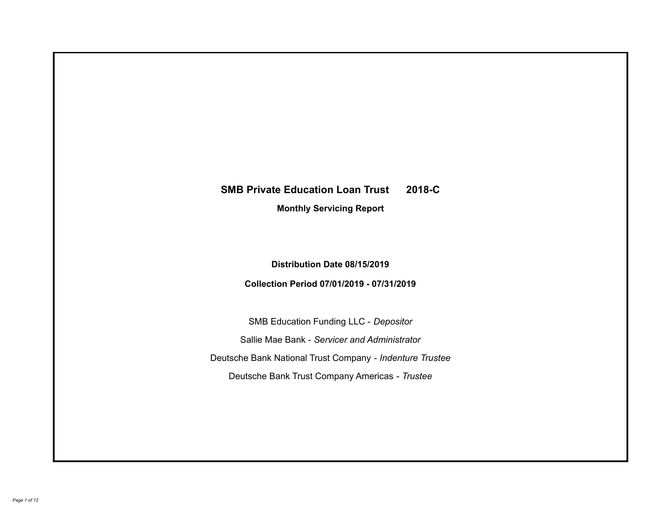# **SMB Private Education Loan Trust 2018-C Monthly Servicing Report**

## **Distribution Date 08/15/2019**

## **Collection Period 07/01/2019 - 07/31/2019**

SMB Education Funding LLC - *Depositor* Sallie Mae Bank - *Servicer and Administrator* Deutsche Bank National Trust Company - *Indenture Trustee* Deutsche Bank Trust Company Americas - *Trustee*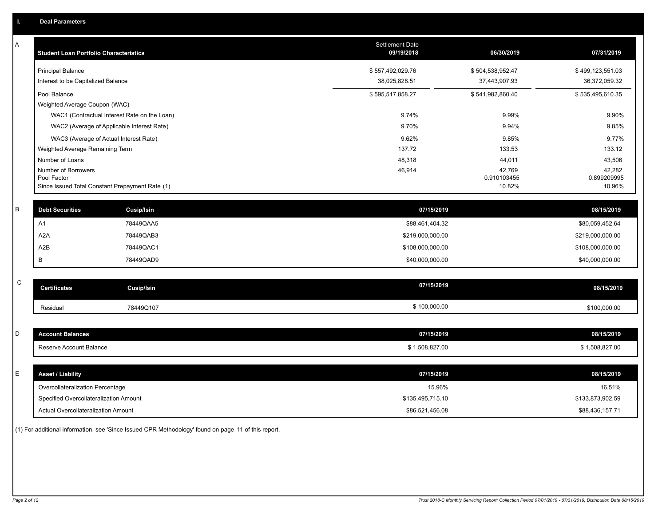| Α           | <b>Student Loan Portfolio Characteristics</b>   |                                              | Settlement Date<br>09/19/2018 | 06/30/2019       | 07/31/2019       |
|-------------|-------------------------------------------------|----------------------------------------------|-------------------------------|------------------|------------------|
|             | <b>Principal Balance</b>                        |                                              | \$557,492,029.76              | \$504,538,952.47 | \$499,123,551.03 |
|             | Interest to be Capitalized Balance              |                                              | 38,025,828.51                 | 37,443,907.93    | 36,372,059.32    |
|             | Pool Balance<br>Weighted Average Coupon (WAC)   |                                              | \$595,517,858.27              | \$541,982,860.40 | \$535,495,610.35 |
|             |                                                 | WAC1 (Contractual Interest Rate on the Loan) | 9.74%                         | 9.99%            | 9.90%            |
|             | WAC2 (Average of Applicable Interest Rate)      |                                              | 9.70%                         | 9.94%            | 9.85%            |
|             | WAC3 (Average of Actual Interest Rate)          |                                              | 9.62%                         | 9.85%            | 9.77%            |
|             | Weighted Average Remaining Term                 |                                              | 137.72                        | 133.53           | 133.12           |
|             | Number of Loans                                 |                                              | 48,318                        | 44,011           | 43,506           |
|             | Number of Borrowers                             |                                              | 46,914                        | 42,769           | 42,282           |
|             | Pool Factor                                     |                                              |                               | 0.910103455      | 0.899209995      |
|             | Since Issued Total Constant Prepayment Rate (1) |                                              |                               | 10.82%           | 10.96%           |
| B           | <b>Debt Securities</b>                          | Cusip/Isin                                   | 07/15/2019                    |                  | 08/15/2019       |
|             | A <sub>1</sub>                                  | 78449QAA5                                    | \$88,461,404.32               |                  | \$80,059,452.64  |
|             | A <sub>2</sub> A                                | 78449QAB3                                    | \$219,000,000.00              |                  | \$219,000,000.00 |
|             | A2B                                             | 78449QAC1                                    | \$108,000,000.00              |                  | \$108,000,000.00 |
|             | B                                               | 78449QAD9                                    | \$40,000,000.00               |                  | \$40,000,000.00  |
|             |                                                 |                                              |                               |                  |                  |
| $\mathsf C$ | <b>Certificates</b>                             | <b>Cusip/Isin</b>                            | 07/15/2019                    |                  | 08/15/2019       |
|             | Residual                                        | 78449Q107                                    | \$100,000.00                  |                  | \$100,000.00     |
|             |                                                 |                                              |                               |                  |                  |
| D           | <b>Account Balances</b>                         |                                              | 07/15/2019                    |                  | 08/15/2019       |
|             | Reserve Account Balance                         |                                              | \$1,508,827.00                |                  | \$1,508,827.00   |
|             |                                                 |                                              |                               |                  |                  |
| Е           | <b>Asset / Liability</b>                        |                                              | 07/15/2019                    |                  | 08/15/2019       |
|             | Overcollateralization Percentage                |                                              | 15.96%                        |                  | 16.51%           |
|             | Specified Overcollateralization Amount          |                                              | \$135,495,715.10              |                  | \$133,873,902.59 |
|             | <b>Actual Overcollateralization Amount</b>      |                                              | \$86,521,456.08               |                  | \$88,436,157.71  |

(1) For additional information, see 'Since Issued CPR Methodology' found on page 11 of this report.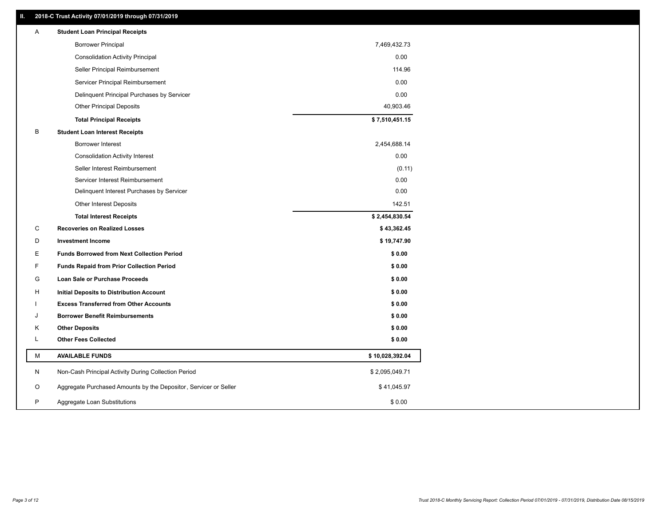## **II. 2018-C Trust Activity 07/01/2019 through 07/31/2019**

| Α | <b>Student Loan Principal Receipts</b>                           |                 |
|---|------------------------------------------------------------------|-----------------|
|   | <b>Borrower Principal</b>                                        | 7,469,432.73    |
|   | <b>Consolidation Activity Principal</b>                          | 0.00            |
|   | Seller Principal Reimbursement                                   | 114.96          |
|   | Servicer Principal Reimbursement                                 | 0.00            |
|   | Delinquent Principal Purchases by Servicer                       | 0.00            |
|   | <b>Other Principal Deposits</b>                                  | 40,903.46       |
|   | <b>Total Principal Receipts</b>                                  | \$7,510,451.15  |
| B | <b>Student Loan Interest Receipts</b>                            |                 |
|   | <b>Borrower Interest</b>                                         | 2,454,688.14    |
|   | <b>Consolidation Activity Interest</b>                           | 0.00            |
|   | Seller Interest Reimbursement                                    | (0.11)          |
|   | Servicer Interest Reimbursement                                  | 0.00            |
|   | Delinquent Interest Purchases by Servicer                        | 0.00            |
|   | Other Interest Deposits                                          | 142.51          |
|   | <b>Total Interest Receipts</b>                                   | \$2,454,830.54  |
| C | <b>Recoveries on Realized Losses</b>                             | \$43,362.45     |
| D | <b>Investment Income</b>                                         | \$19,747.90     |
| Е | <b>Funds Borrowed from Next Collection Period</b>                | \$0.00          |
| F | <b>Funds Repaid from Prior Collection Period</b>                 | \$0.00          |
| G | Loan Sale or Purchase Proceeds                                   | \$0.00          |
| н | Initial Deposits to Distribution Account                         | \$0.00          |
|   | <b>Excess Transferred from Other Accounts</b>                    | \$0.00          |
| J | <b>Borrower Benefit Reimbursements</b>                           | \$0.00          |
| Κ | <b>Other Deposits</b>                                            | \$0.00          |
| L | <b>Other Fees Collected</b>                                      | \$0.00          |
| М | <b>AVAILABLE FUNDS</b>                                           | \$10,028,392.04 |
| N | Non-Cash Principal Activity During Collection Period             | \$2,095,049.71  |
| O | Aggregate Purchased Amounts by the Depositor, Servicer or Seller | \$41,045.97     |
| P | Aggregate Loan Substitutions                                     | \$0.00          |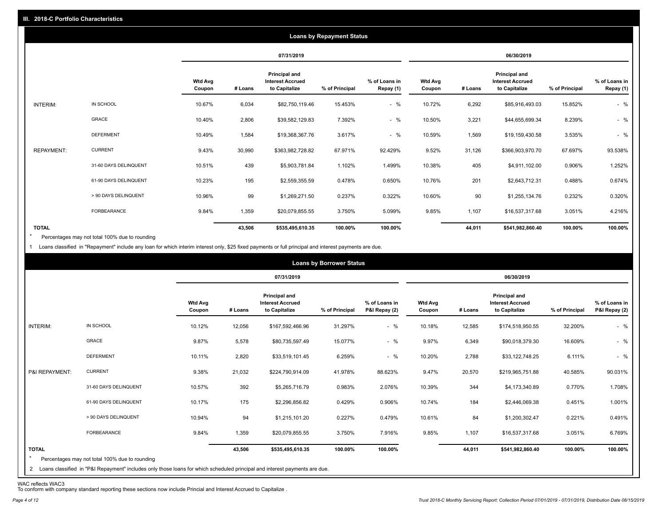|                   |                       |                          |         |                                                           | <b>Loans by Repayment Status</b> |                            |                          |         |                                                           |                |                            |
|-------------------|-----------------------|--------------------------|---------|-----------------------------------------------------------|----------------------------------|----------------------------|--------------------------|---------|-----------------------------------------------------------|----------------|----------------------------|
|                   |                       |                          |         | 07/31/2019                                                |                                  |                            |                          |         | 06/30/2019                                                |                |                            |
|                   |                       | <b>Wtd Avg</b><br>Coupon | # Loans | Principal and<br><b>Interest Accrued</b><br>to Capitalize | % of Principal                   | % of Loans in<br>Repay (1) | <b>Wtd Avg</b><br>Coupon | # Loans | Principal and<br><b>Interest Accrued</b><br>to Capitalize | % of Principal | % of Loans in<br>Repay (1) |
| INTERIM:          | IN SCHOOL             | 10.67%                   | 6,034   | \$82,750,119.46                                           | 15.453%                          | $-$ %                      | 10.72%                   | 6,292   | \$85,916,493.03                                           | 15.852%        | $-$ %                      |
|                   | <b>GRACE</b>          | 10.40%                   | 2,806   | \$39,582,129.83                                           | 7.392%                           | $-$ %                      | 10.50%                   | 3,221   | \$44,655,699.34                                           | 8.239%         | $-$ %                      |
|                   | <b>DEFERMENT</b>      | 10.49%                   | 1,584   | \$19,368,367.76                                           | 3.617%                           | $-$ %                      | 10.59%                   | 1,569   | \$19,159,430.58                                           | 3.535%         | $-$ %                      |
| <b>REPAYMENT:</b> | <b>CURRENT</b>        | 9.43%                    | 30,990  | \$363,982,728.82                                          | 67.971%                          | 92.429%                    | 9.52%                    | 31,126  | \$366,903,970.70                                          | 67.697%        | 93.538%                    |
|                   | 31-60 DAYS DELINQUENT | 10.51%                   | 439     | \$5,903,781.84                                            | 1.102%                           | 1.499%                     | 10.38%                   | 405     | \$4,911,102.00                                            | 0.906%         | 1.252%                     |
|                   | 61-90 DAYS DELINQUENT | 10.23%                   | 195     | \$2,559,355.59                                            | 0.478%                           | 0.650%                     | 10.76%                   | 201     | \$2,643,712.31                                            | 0.488%         | 0.674%                     |
|                   | > 90 DAYS DELINQUENT  | 10.96%                   | 99      | \$1,269,271.50                                            | 0.237%                           | 0.322%                     | 10.60%                   | 90      | \$1,255,134.76                                            | 0.232%         | 0.320%                     |
|                   | FORBEARANCE           | 9.84%                    | 1,359   | \$20,079,855.55                                           | 3.750%                           | 5.099%                     | 9.85%                    | 1,107   | \$16,537,317.68                                           | 3.051%         | 4.216%                     |
| <b>TOTAL</b>      |                       |                          | 43,506  | \$535,495,610.35                                          | 100.00%                          | 100.00%                    |                          | 44,011  | \$541,982,860.40                                          | 100.00%        | 100.00%                    |

Percentages may not total 100% due to rounding  $\star$ 

1 Loans classified in "Repayment" include any loan for which interim interest only, \$25 fixed payments or full principal and interest payments are due.

|                         |                                                                                                                              |                          |         |                                                           | <b>Loans by Borrower Status</b> |                                |                          |         |                                                                  |                |                                |
|-------------------------|------------------------------------------------------------------------------------------------------------------------------|--------------------------|---------|-----------------------------------------------------------|---------------------------------|--------------------------------|--------------------------|---------|------------------------------------------------------------------|----------------|--------------------------------|
|                         |                                                                                                                              |                          |         | 07/31/2019                                                |                                 |                                |                          |         | 06/30/2019                                                       |                |                                |
|                         |                                                                                                                              | <b>Wtd Avg</b><br>Coupon | # Loans | Principal and<br><b>Interest Accrued</b><br>to Capitalize | % of Principal                  | % of Loans in<br>P&I Repay (2) | <b>Wtd Avg</b><br>Coupon | # Loans | <b>Principal and</b><br><b>Interest Accrued</b><br>to Capitalize | % of Principal | % of Loans in<br>P&I Repay (2) |
| INTERIM:                | IN SCHOOL                                                                                                                    | 10.12%                   | 12,056  | \$167,592,466.96                                          | 31.297%                         | $-$ %                          | 10.18%                   | 12,585  | \$174,518,950.55                                                 | 32.200%        | $-$ %                          |
|                         | GRACE                                                                                                                        | 9.87%                    | 5,578   | \$80,735,597.49                                           | 15.077%                         | $-$ %                          | 9.97%                    | 6,349   | \$90,018,379.30                                                  | 16.609%        | $-$ %                          |
|                         | <b>DEFERMENT</b>                                                                                                             | 10.11%                   | 2,820   | \$33,519,101.45                                           | 6.259%                          | $-$ %                          | 10.20%                   | 2,788   | \$33,122,748.25                                                  | 6.111%         | $-$ %                          |
| P&I REPAYMENT:          | <b>CURRENT</b>                                                                                                               | 9.38%                    | 21,032  | \$224,790,914.09                                          | 41.978%                         | 88.623%                        | 9.47%                    | 20,570  | \$219,965,751.88                                                 | 40.585%        | 90.031%                        |
|                         | 31-60 DAYS DELINQUENT                                                                                                        | 10.57%                   | 392     | \$5,265,716.79                                            | 0.983%                          | 2.076%                         | 10.39%                   | 344     | \$4,173,340.89                                                   | 0.770%         | 1.708%                         |
|                         | 61-90 DAYS DELINQUENT                                                                                                        | 10.17%                   | 175     | \$2,296,856.82                                            | 0.429%                          | 0.906%                         | 10.74%                   | 184     | \$2,446,069.38                                                   | 0.451%         | 1.001%                         |
|                         | > 90 DAYS DELINQUENT                                                                                                         | 10.94%                   | 94      | \$1,215,101.20                                            | 0.227%                          | 0.479%                         | 10.61%                   | 84      | \$1,200,302.47                                                   | 0.221%         | 0.491%                         |
|                         | FORBEARANCE                                                                                                                  | 9.84%                    | 1,359   | \$20,079,855.55                                           | 3.750%                          | 7.916%                         | 9.85%                    | 1,107   | \$16,537,317.68                                                  | 3.051%         | 6.769%                         |
| <b>TOTAL</b><br>$\star$ | Percentages may not total 100% due to rounding                                                                               |                          | 43,506  | \$535,495,610.35                                          | 100.00%                         | 100.00%                        |                          | 44,011  | \$541,982,860.40                                                 | 100.00%        | 100.00%                        |
|                         | 2 Loans classified in "P&I Repayment" includes only those loans for which scheduled principal and interest payments are due. |                          |         |                                                           |                                 |                                |                          |         |                                                                  |                |                                |

WAC reflects WAC3 To conform with company standard reporting these sections now include Princial and Interest Accrued to Capitalize .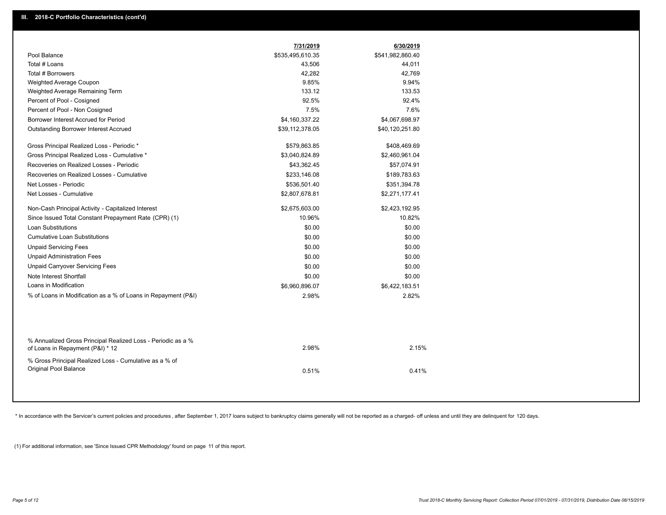|                                                                                                  | 7/31/2019        | 6/30/2019        |  |
|--------------------------------------------------------------------------------------------------|------------------|------------------|--|
| Pool Balance                                                                                     | \$535,495,610.35 | \$541,982,860.40 |  |
| Total # Loans                                                                                    | 43,506           | 44,011           |  |
| Total # Borrowers                                                                                | 42,282           | 42,769           |  |
| Weighted Average Coupon                                                                          | 9.85%            | 9.94%            |  |
| Weighted Average Remaining Term                                                                  | 133.12           | 133.53           |  |
| Percent of Pool - Cosigned                                                                       | 92.5%            | 92.4%            |  |
| Percent of Pool - Non Cosigned                                                                   | 7.5%             | 7.6%             |  |
| Borrower Interest Accrued for Period                                                             | \$4,160,337.22   | \$4,067,698.97   |  |
| <b>Outstanding Borrower Interest Accrued</b>                                                     | \$39,112,378.05  | \$40,120,251.80  |  |
| Gross Principal Realized Loss - Periodic *                                                       | \$579,863.85     | \$408,469.69     |  |
| Gross Principal Realized Loss - Cumulative *                                                     | \$3,040,824.89   | \$2,460,961.04   |  |
| Recoveries on Realized Losses - Periodic                                                         | \$43,362.45      | \$57,074.91      |  |
| Recoveries on Realized Losses - Cumulative                                                       | \$233,146.08     | \$189,783.63     |  |
| Net Losses - Periodic                                                                            | \$536,501.40     | \$351,394.78     |  |
| Net Losses - Cumulative                                                                          | \$2,807,678.81   | \$2,271,177.41   |  |
| Non-Cash Principal Activity - Capitalized Interest                                               | \$2,675,603.00   | \$2,423,192.95   |  |
| Since Issued Total Constant Prepayment Rate (CPR) (1)                                            | 10.96%           | 10.82%           |  |
| <b>Loan Substitutions</b>                                                                        | \$0.00           | \$0.00           |  |
| <b>Cumulative Loan Substitutions</b>                                                             | \$0.00           | \$0.00           |  |
| <b>Unpaid Servicing Fees</b>                                                                     | \$0.00           | \$0.00           |  |
| <b>Unpaid Administration Fees</b>                                                                | \$0.00           | \$0.00           |  |
| <b>Unpaid Carryover Servicing Fees</b>                                                           | \$0.00           | \$0.00           |  |
| Note Interest Shortfall                                                                          | \$0.00           | \$0.00           |  |
| Loans in Modification                                                                            | \$6,960,896.07   | \$6,422,183.51   |  |
| % of Loans in Modification as a % of Loans in Repayment (P&I)                                    | 2.98%            | 2.82%            |  |
|                                                                                                  |                  |                  |  |
| % Annualized Gross Principal Realized Loss - Periodic as a %<br>of Loans in Repayment (P&I) * 12 | 2.98%            | 2.15%            |  |
| % Gross Principal Realized Loss - Cumulative as a % of<br>Original Pool Balance                  | 0.51%            | 0.41%            |  |

\* In accordance with the Servicer's current policies and procedures, after September 1, 2017 loans subject to bankruptcy claims generally will not be reported as a charged- off unless and until they are delinquent for 120

(1) For additional information, see 'Since Issued CPR Methodology' found on page 11 of this report.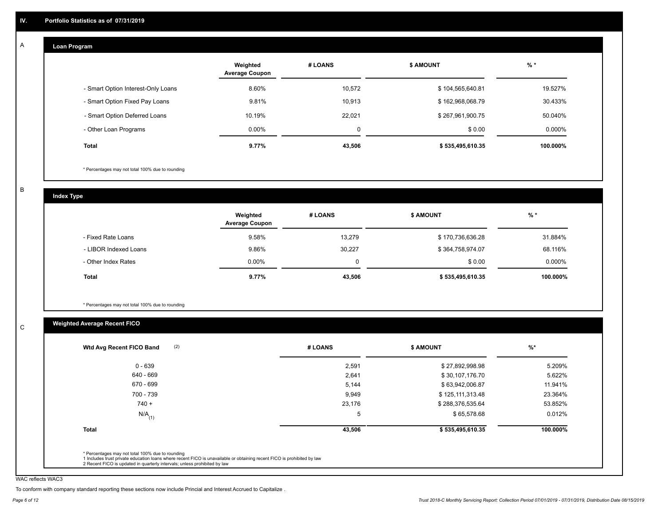#### **Loan Program**  A

|                                    | Weighted<br><b>Average Coupon</b> | # LOANS | <b>\$ AMOUNT</b> | $%$ *    |
|------------------------------------|-----------------------------------|---------|------------------|----------|
| - Smart Option Interest-Only Loans | 8.60%                             | 10.572  | \$104,565,640.81 | 19.527%  |
| - Smart Option Fixed Pay Loans     | 9.81%                             | 10.913  | \$162,968,068.79 | 30.433%  |
| - Smart Option Deferred Loans      | 10.19%                            | 22.021  | \$267,961,900.75 | 50.040%  |
| - Other Loan Programs              | $0.00\%$                          | 0       | \$0.00           | 0.000%   |
| <b>Total</b>                       | 9.77%                             | 43,506  | \$535,495,610.35 | 100.000% |

\* Percentages may not total 100% due to rounding

B

C

**Index Type**

|                       | Weighted<br><b>Average Coupon</b> | # LOANS | <b>\$ AMOUNT</b> | $%$ *     |
|-----------------------|-----------------------------------|---------|------------------|-----------|
| - Fixed Rate Loans    | 9.58%                             | 13,279  | \$170,736,636.28 | 31.884%   |
| - LIBOR Indexed Loans | 9.86%                             | 30.227  | \$364,758,974.07 | 68.116%   |
| - Other Index Rates   | $0.00\%$                          |         | \$0.00           | $0.000\%$ |
| Total                 | 9.77%                             | 43,506  | \$535,495,610.35 | 100.000%  |

\* Percentages may not total 100% due to rounding

## **Weighted Average Recent FICO**

| 2,591<br>2,641<br>5,144 | \$27,892,998.98<br>\$30,107,176.70<br>\$63,942,006.87 | 5.209%<br>5.622% |
|-------------------------|-------------------------------------------------------|------------------|
|                         |                                                       |                  |
|                         |                                                       |                  |
|                         |                                                       | 11.941%          |
| 9,949                   | \$125,111,313.48                                      | 23.364%          |
| 23,176                  | \$288,376,535.64                                      | 53.852%          |
| <sub>5</sub>            | \$65,578.68                                           | 0.012%           |
| 43,506                  | \$535,495,610.35                                      | 100.000%         |
|                         |                                                       |                  |

WAC reflects WAC3

To conform with company standard reporting these sections now include Princial and Interest Accrued to Capitalize .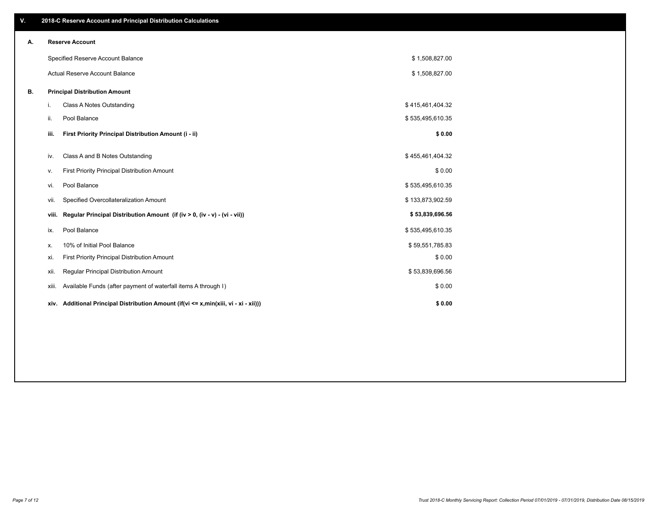| V. |       | 2018-C Reserve Account and Principal Distribution Calculations                  |                  |  |
|----|-------|---------------------------------------------------------------------------------|------------------|--|
| А. |       | <b>Reserve Account</b>                                                          |                  |  |
|    |       | Specified Reserve Account Balance                                               | \$1,508,827.00   |  |
|    |       | Actual Reserve Account Balance                                                  | \$1,508,827.00   |  |
| В. |       | <b>Principal Distribution Amount</b>                                            |                  |  |
|    | i.    | Class A Notes Outstanding                                                       | \$415,461,404.32 |  |
|    | ii.   | Pool Balance                                                                    | \$535,495,610.35 |  |
|    | iii.  | First Priority Principal Distribution Amount (i - ii)                           | \$0.00           |  |
|    | iv.   | Class A and B Notes Outstanding                                                 | \$455,461,404.32 |  |
|    | ٧.    | First Priority Principal Distribution Amount                                    | \$0.00           |  |
|    | vi.   | Pool Balance                                                                    | \$535,495,610.35 |  |
|    | Vii.  | Specified Overcollateralization Amount                                          | \$133,873,902.59 |  |
|    | viii. | Regular Principal Distribution Amount (if (iv > 0, (iv - v) - (vi - vii))       | \$53,839,696.56  |  |
|    | ix.   | Pool Balance                                                                    | \$535,495,610.35 |  |
|    | х.    | 10% of Initial Pool Balance                                                     | \$59,551,785.83  |  |
|    | xi.   | First Priority Principal Distribution Amount                                    | \$0.00           |  |
|    | xii.  | Regular Principal Distribution Amount                                           | \$53,839,696.56  |  |
|    | XIII. | Available Funds (after payment of waterfall items A through I)                  | \$0.00           |  |
|    | xiv.  | Additional Principal Distribution Amount (if(vi <= x,min(xiii, vi - xi - xii))) | \$0.00           |  |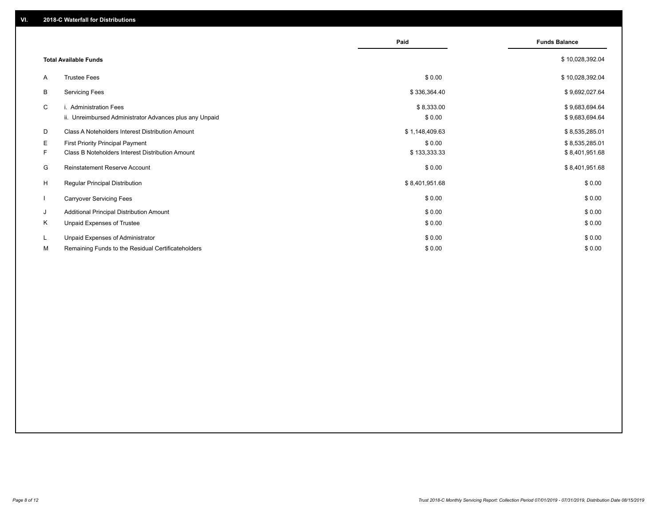|              |                                                         | Paid           | <b>Funds Balance</b> |
|--------------|---------------------------------------------------------|----------------|----------------------|
|              | <b>Total Available Funds</b>                            |                | \$10,028,392.04      |
| A            | <b>Trustee Fees</b>                                     | \$0.00         | \$10,028,392.04      |
| В            | <b>Servicing Fees</b>                                   | \$336,364.40   | \$9,692,027.64       |
| C            | i. Administration Fees                                  | \$8,333.00     | \$9,683,694.64       |
|              | ii. Unreimbursed Administrator Advances plus any Unpaid | \$0.00         | \$9,683,694.64       |
| D            | Class A Noteholders Interest Distribution Amount        | \$1,148,409.63 | \$8,535,285.01       |
| E.           | <b>First Priority Principal Payment</b>                 | \$0.00         | \$8,535,285.01       |
| F.           | Class B Noteholders Interest Distribution Amount        | \$133,333.33   | \$8,401,951.68       |
| G            | Reinstatement Reserve Account                           | \$0.00         | \$8,401,951.68       |
| H            | Regular Principal Distribution                          | \$8,401,951.68 | \$0.00               |
| $\mathbf{I}$ | <b>Carryover Servicing Fees</b>                         | \$0.00         | \$0.00               |
| J            | Additional Principal Distribution Amount                | \$0.00         | \$0.00               |
| Κ            | Unpaid Expenses of Trustee                              | \$0.00         | \$0.00               |
| L            | Unpaid Expenses of Administrator                        | \$0.00         | \$0.00               |
| М            | Remaining Funds to the Residual Certificateholders      | \$0.00         | \$0.00               |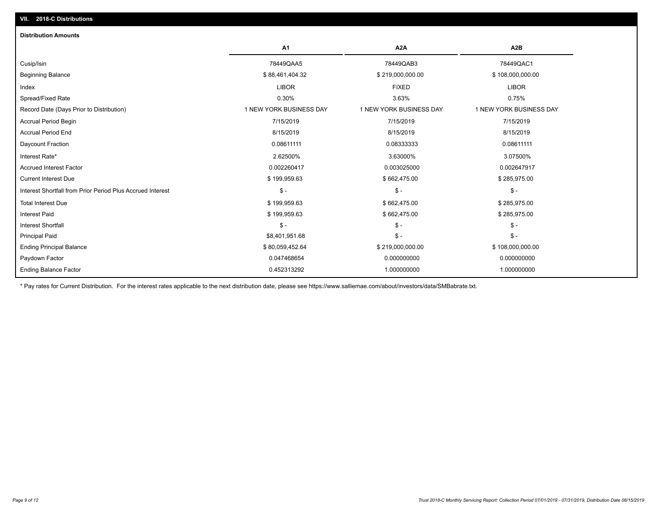| <b>Distribution Amounts</b>                                |                         |                         |                         |
|------------------------------------------------------------|-------------------------|-------------------------|-------------------------|
|                                                            | A <sub>1</sub>          | A <sub>2</sub> A        | A <sub>2</sub> B        |
| Cusip/Isin                                                 | 78449QAA5               | 78449QAB3               | 78449QAC1               |
| <b>Beginning Balance</b>                                   | \$88,461,404.32         | \$219,000,000.00        | \$108,000,000.00        |
| Index                                                      | <b>LIBOR</b>            | <b>FIXED</b>            | <b>LIBOR</b>            |
| Spread/Fixed Rate                                          | 0.30%                   | 3.63%                   | 0.75%                   |
| Record Date (Days Prior to Distribution)                   | 1 NEW YORK BUSINESS DAY | 1 NEW YORK BUSINESS DAY | 1 NEW YORK BUSINESS DAY |
| <b>Accrual Period Begin</b>                                | 7/15/2019               | 7/15/2019               | 7/15/2019               |
| <b>Accrual Period End</b>                                  | 8/15/2019               | 8/15/2019               | 8/15/2019               |
| Daycount Fraction                                          | 0.08611111              | 0.08333333              | 0.08611111              |
| Interest Rate*                                             | 2.62500%                | 3.63000%                | 3.07500%                |
| <b>Accrued Interest Factor</b>                             | 0.002260417             | 0.003025000             | 0.002647917             |
| <b>Current Interest Due</b>                                | \$199,959.63            | \$662,475.00            | \$285,975.00            |
| Interest Shortfall from Prior Period Plus Accrued Interest | $\mathsf{\$}$ -         | $\mathsf{\$}$ -         | $\mathcal{S}$ -         |
| <b>Total Interest Due</b>                                  | \$199,959.63            | \$662,475.00            | \$285,975.00            |
| <b>Interest Paid</b>                                       | \$199,959.63            | \$662,475.00            | \$285,975.00            |
| <b>Interest Shortfall</b>                                  | $\mathsf{\$}$ -         | $$ -$                   | $$ -$                   |
| <b>Principal Paid</b>                                      | \$8,401,951.68          | $$ -$                   | $$ -$                   |
| <b>Ending Principal Balance</b>                            | \$80,059,452.64         | \$219,000,000.00        | \$108,000,000.00        |
| Paydown Factor                                             | 0.047468654             | 0.000000000             | 0.000000000             |
| <b>Ending Balance Factor</b>                               | 0.452313292             | 1.000000000             | 1.000000000             |

\* Pay rates for Current Distribution. For the interest rates applicable to the next distribution date, please see https://www.salliemae.com/about/investors/data/SMBabrate.txt.

**VII. 2018-C Distributions**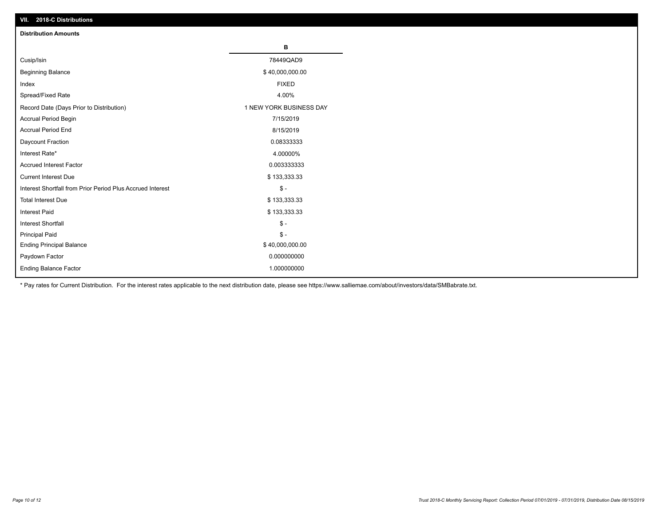| VII. 2018-C Distributions                                  |                         |
|------------------------------------------------------------|-------------------------|
| <b>Distribution Amounts</b>                                |                         |
|                                                            | В                       |
| Cusip/Isin                                                 | 78449QAD9               |
| <b>Beginning Balance</b>                                   | \$40,000,000.00         |
| Index                                                      | <b>FIXED</b>            |
| Spread/Fixed Rate                                          | 4.00%                   |
| Record Date (Days Prior to Distribution)                   | 1 NEW YORK BUSINESS DAY |
| Accrual Period Begin                                       | 7/15/2019               |
| <b>Accrual Period End</b>                                  | 8/15/2019               |
| Daycount Fraction                                          | 0.08333333              |
| Interest Rate*                                             | 4.00000%                |
| <b>Accrued Interest Factor</b>                             | 0.003333333             |
| <b>Current Interest Due</b>                                | \$133,333.33            |
| Interest Shortfall from Prior Period Plus Accrued Interest | $$ -$                   |
| <b>Total Interest Due</b>                                  | \$133,333.33            |
| <b>Interest Paid</b>                                       | \$133,333.33            |
| Interest Shortfall                                         | $\$ -                   |
| <b>Principal Paid</b>                                      | $\frac{1}{2}$           |
| <b>Ending Principal Balance</b>                            | \$40,000,000.00         |
| Paydown Factor                                             | 0.000000000             |
| <b>Ending Balance Factor</b>                               | 1.000000000             |

\* Pay rates for Current Distribution. For the interest rates applicable to the next distribution date, please see https://www.salliemae.com/about/investors/data/SMBabrate.txt.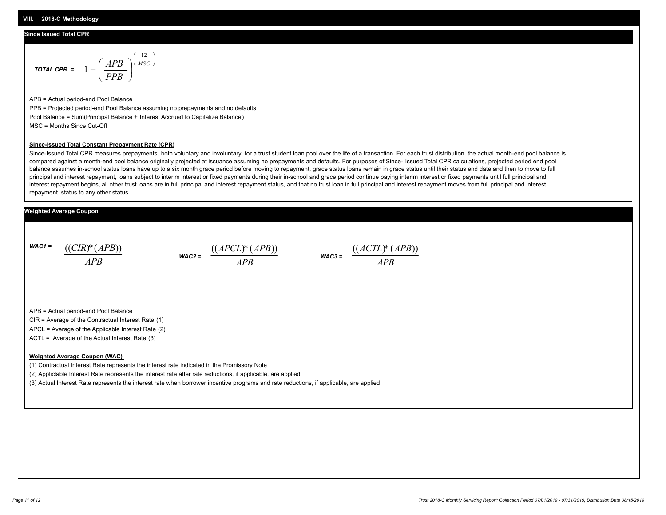## **Since Issued Total CPR**

$$
\text{total CPR} = 1 - \left(\frac{APB}{PPB}\right)^{\left(\frac{12}{MSC}\right)}
$$

APB = Actual period-end Pool Balance PPB = Projected period-end Pool Balance assuming no prepayments and no defaults Pool Balance = Sum(Principal Balance + Interest Accrued to Capitalize Balance) MSC = Months Since Cut-Off

#### **Since-Issued Total Constant Prepayment Rate (CPR)**

Since-Issued Total CPR measures prepayments, both voluntary and involuntary, for a trust student loan pool over the life of a transaction. For each trust distribution, the actual month-end pool balance is compared against a month-end pool balance originally projected at issuance assuming no prepayments and defaults. For purposes of Since- Issued Total CPR calculations, projected period end pool balance assumes in-school status loans have up to a six month grace period before moving to repayment, grace status loans remain in grace status until their status end date and then to move to full principal and interest repayment, loans subject to interim interest or fixed payments during their in-school and grace period continue paying interim interest or fixed payments until full principal and interest repayment begins, all other trust loans are in full principal and interest repayment status, and that no trust loan in full principal and interest repayment moves from full principal and interest repayment status to any other status.

## **Weighted Average Coupon**

*WAC1 = APB* ((*CIR*)\*(*APB*))

*WAC2 = APB*  $\frac{((APCL)^{*}(APB))}{APB}$  wac<sub>3</sub> =  $\frac{((ACTL)^{*}(A)P}{APB}$ 



APB = Actual period-end Pool Balance

CIR = Average of the Contractual Interest Rate (1)

APCL = Average of the Applicable Interest Rate (2)

ACTL = Average of the Actual Interest Rate (3)

### **Weighted Average Coupon (WAC)**

(1) Contractual Interest Rate represents the interest rate indicated in the Promissory Note

(2) Appliclable Interest Rate represents the interest rate after rate reductions, if applicable, are applied

(3) Actual Interest Rate represents the interest rate when borrower incentive programs and rate reductions, if applicable, are applied